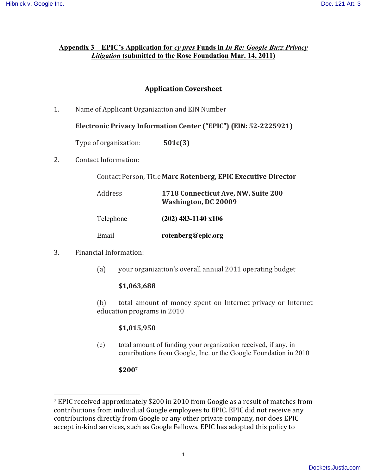#### **Appendix 3 – EPIC's Application for** *cy pres* **Funds in** *In Re: Google Buzz Privacy Litigation* **(submitted to the Rose Foundation Mar. 14, 2011)**

# **Application Coversheet**

1. Name of Applicant Organization and EIN Number

#### **Electronic Privacy Information Center ("EPIC") (EIN: 52-2225921)**

Type of organization: **501c(3)** 

2. Contact Information:

Contact Person, Title Marc Rotenberg, EPIC Executive Director

| Address   | 1718 Connecticut Ave, NW, Suite 200<br>Washington, DC 20009 |
|-----------|-------------------------------------------------------------|
| Telephone | $(202)$ 483-1140 x106                                       |
| Email     | rotenberg@epic.org                                          |

3. Financial Information:

!!!!!!!!!!!!!!!!!!!!!!!!!!!!!!!!!!!!!!!!!!!!!!!!!!!!!!!

(a) your organization's overall annual 2011 operating budget

#### **\$1,063,688**

(b) total amount of money spent on Internet privacy or Internet education programs in 2010

#### **\$1,015,950**

(c) total amount of funding your organization received, if any, in contributions from Google, Inc. or the Google Foundation in 2010

#### **\$200**<sup>7</sup>

 $7$  EPIC received approximately \$200 in 2010 from Google as a result of matches from contributions from individual Google employees to EPIC. EPIC did not receive any contributions directly from Google or any other private company, nor does EPIC accept in-kind services, such as Google Fellows. EPIC has adopted this policy to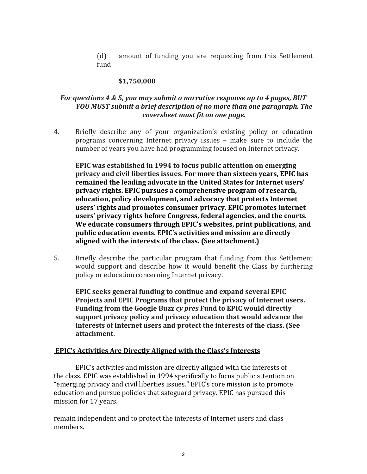(d) amount of funding you are requesting from this Settlement fund

# **\$1,750,000**

# *For questions 4 & 5, you may submit a narrative response up to 4 pages, BUT YOU MUST submit a brief description of no more than one paragraph. The coversheet must fit on one page.*

4. Briefly describe any of your organization's existing policy or education programs concerning Internet privacy issues – make sure to include the number of years you have had programming focused on Internet privacy.

**EPIC** was established in 1994 to focus public attention on emerging privacy and civil liberties issues. For more than sixteen years, EPIC has remained the leading advocate in the United States for Internet users' privacy rights. EPIC pursues a comprehensive program of research, **education,\*policy\*development,\*and\*advocacy\*that\*protects\*Internet\*** users' rights and promotes consumer privacy. EPIC promotes Internet users' privacy rights before Congress, federal agencies, and the courts. We educate consumers through EPIC's websites, print publications, and public education events. EPIC's activities and mission are directly aligned with the interests of the class. (See attachment.)

5. Briefly describe the particular program that funding from this Settlement would support and describe how it would benefit the Class by furthering policy or education concerning Internet privacy.

**EPIC seeks general funding to continue and expand several EPIC** Projects and EPIC Programs that protect the privacy of Internet users. Funding from the Google Buzz *cy pres* Fund to EPIC would directly support privacy policy and privacy education that would advance the **interests\*of\*Internet\*users\*and\*protect\*the\*interests\*of\*the\*class.\*(See\* attachment.**

#### **\*EPIC's\*Activities\*Are\*Directly\*Aligned\*with\*the\*Class's\*Interests**

EPIC's activities and mission are directly aligned with the interests of the class. EPIC was established in 1994 specifically to focus public attention on "emerging privacy and civil liberties issues." EPIC's core mission is to promote education and pursue policies that safeguard privacy. EPIC has pursued this mission for 17 years.

remain independent and to protect the interests of Internet users and class members.

!!!!!!!!!!!!!!!!!!!!!!!!!!!!!!!!!!!!!!!!!!!!!!!!!!!!!!!!!!!!!!!!!!!!!!!!!!!!!!!!!!!!!!!!!!!!!!!!!!!!!!!!!!!!!!!!!!!!!!!!!!!!!!!!!!!!!!!!!!!!!!!!!!!!!!!!!!!!!!!!!!!!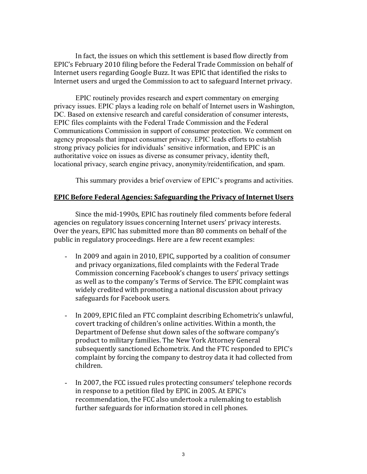In fact, the issues on which this settlement is based flow directly from EPIC's February 2010 filing before the Federal Trade Commission on behalf of Internet users regarding Google Buzz. It was EPIC that identified the risks to Internet users and urged the Commission to act to safeguard Internet privacy.

EPIC routinely provides research and expert commentary on emerging privacy issues. EPIC plays a leading role on behalf of Internet users in Washington, DC. Based on extensive research and careful consideration of consumer interests, EPIC files complaints with the Federal Trade Commission and the Federal Communications Commission in support of consumer protection. We comment on agency proposals that impact consumer privacy. EPIC leads efforts to establish strong privacy policies for individuals' sensitive information, and EPIC is an authoritative voice on issues as diverse as consumer privacy, identity theft, locational privacy, search engine privacy, anonymity/reidentification, and spam.

This summary provides a brief overview of EPIC's programs and activities.

#### **EPIC Before Federal Agencies: Safeguarding the Privacy of Internet Users**

Since the mid-1990s, EPIC has routinely filed comments before federal agencies on regulatory issues concerning Internet users' privacy interests. Over the years, EPIC has submitted more than 80 comments on behalf of the public in regulatory proceedings. Here are a few recent examples:

- In 2009 and again in 2010, EPIC, supported by a coalition of consumer and privacy organizations, filed complaints with the Federal Trade Commission concerning Facebook's changes to users' privacy settings as well as to the company's Terms of Service. The EPIC complaint was widely credited with promoting a national discussion about privacy safeguards for Facebook users.
- In 2009, EPIC filed an FTC complaint describing Echometrix's unlawful, covert tracking of children's online activities. Within a month, the Department of Defense shut down sales of the software company's product to military families. The New York Attorney General subsequently sanctioned Echometrix. And the FTC responded to EPIC's complaint by forcing the company to destroy data it had collected from children.
- In 2007, the FCC issued rules protecting consumers' telephone records in response to a petition filed by EPIC in 2005. At EPIC's recommendation, the FCC also undertook a rulemaking to establish further safeguards for information stored in cell phones.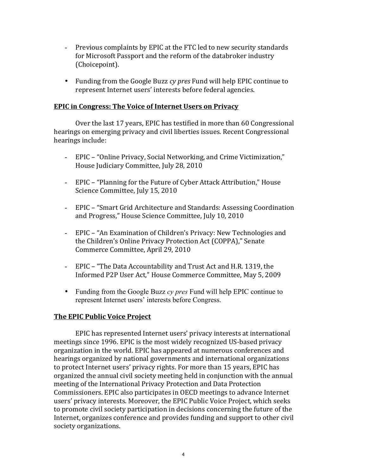- Previous complaints by EPIC at the FTC led to new security standards for Microsoft Passport and the reform of the databroker industry (Choicepoint).
- Funding from the Google Buzz *cy pres* Fund will help EPIC continue to represent Internet users' interests before federal agencies.

#### **EPIC in Congress: The Voice of Internet Users on Privacy**

Over the last 17 years, EPIC has testified in more than 60 Congressional hearings on emerging privacy and civil liberties issues. Recent Congressional hearings include:

- EPIC "Online Privacy, Social Networking, and Crime Victimization," House Judiciary Committee, July 28, 2010
- EPIC "Planning for the Future of Cyber Attack Attribution," House Science Committee, July 15, 2010
- EPIC "Smart Grid Architecture and Standards: Assessing Coordination and Progress," House Science Committee, July 10, 2010
- EPIC "An Examination of Children's Privacy: New Technologies and the Children's Online Privacy Protection Act (COPPA)," Senate Commerce Committee, April 29, 2010
- EPIC "The Data Accountability and Trust Act and H.R. 1319, the Informed P2P User Act," House Commerce Committee, May 5, 2009
- Funding from the Google Buzz *cy pres* Fund will help EPIC continue to represent Internet users' interests before Congress.

#### **The EPIC Public Voice Project**

EPIC has represented Internet users' privacy interests at international meetings since 1996. EPIC is the most widely recognized US-based privacy organization in the world. EPIC has appeared at numerous conferences and hearings organized by national governments and international organizations to protect Internet users' privacy rights. For more than 15 years, EPIC has organized the annual civil society meeting held in conjunction with the annual meeting of the International Privacy Protection and Data Protection Commissioners. EPIC also participates in OECD meetings to advance Internet users' privacy interests. Moreover, the EPIC Public Voice Project, which seeks to promote civil society participation in decisions concerning the future of the Internet, organizes conference and provides funding and support to other civil society organizations.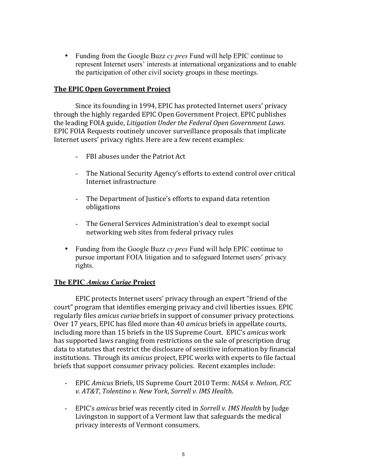• Funding from the Google Buzz *cy pres* Fund will help EPIC continue to represent Internet users' interests at international organizations and to enable the participation of other civil society groups in these meetings.

#### **The EPIC Open Government Project**

Since its founding in 1994, EPIC has protected Internet users' privacy through the highly regarded EPIC Open Government Project. EPIC publishes the leading FOIA guide, *Litigation Under the Federal Open Government Laws.* EPIC FOIA Requests routinely uncover surveillance proposals that implicate Internet users' privacy rights. Here are a few recent examples:

- FBI abuses under the Patriot Act
- The National Security Agency's efforts to extend control over critical Internet infrastructure
- The Department of Justice's efforts to expand data retention obligations
- The General Services Administration's deal to exempt social networking web sites from federal privacy rules
- Funding from the Google Buzz *cy pres* Fund will help EPIC continue to pursue important FOIA litigation and to safeguard Internet users' privacy rights.

#### **The EPIC** *Amicus Curiae* **Project**

EPIC protects Internet users' privacy through an expert "friend of the court" program that identifies emerging privacy and civil liberties issues. EPIC regularly files *amicus curiae* briefs in support of consumer privacy protections. Over 17 years, EPIC has filed more than 40 *amicus* briefs in appellate courts, including more than 15 briefs in the US Supreme Court. EPIC's *amicus* work has supported laws ranging from restrictions on the sale of prescription drug data to statutes that restrict the disclosure of sensitive information by financial institutions. Through its *amicus* project, EPIC works with experts to file factual briefs that support consumer privacy policies. Recent examples include:

- EPIC *Amicus* Briefs, US Supreme Court 2010 Term: *NASA v. Nelson, FCC v. AT&T, Tolentino v. New York, Sorrell v. IMS Health.*
- EPIC's *amicus* brief was recently cited in *Sorrell v. IMS Health* by Judge Livingston in support of a Vermont law that safeguards the medical privacy interests of Vermont consumers.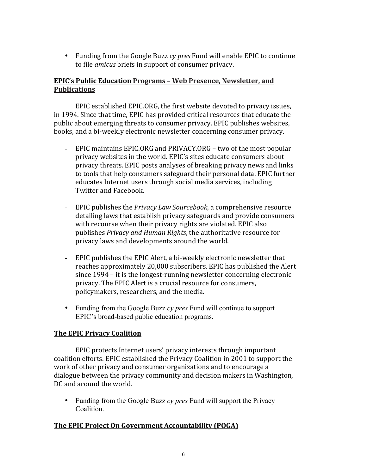• Funding from the Google Buzz *cy pres* Fund will enable EPIC to continue to file *amicus* briefs in support of consumer privacy.

# **EPIC's Public Education Programs - Web Presence, Newsletter, and Publications**

EPIC established EPIC.ORG, the first website devoted to privacy issues, in 1994. Since that time, EPIC has provided critical resources that educate the public about emerging threats to consumer privacy. EPIC publishes websites, books, and a bi-weekly electronic newsletter concerning consumer privacy.

- EPIC maintains EPIC.ORG and PRIVACY.ORG two of the most popular privacy websites in the world. EPIC's sites educate consumers about privacy threats. EPIC posts analyses of breaking privacy news and links to tools that help consumers safeguard their personal data. EPIC further educates Internet users through social media services, including Twitter and Facebook.
- EPIC publishes the *Privacy Law Sourcebook*, a comprehensive resource detailing laws that establish privacy safeguards and provide consumers with recourse when their privacy rights are violated. EPIC also publishes *Privacy and Human Rights*, the authoritative resource for privacy laws and developments around the world.
- EPIC publishes the EPIC Alert, a bi-weekly electronic newsletter that reaches approximately 20,000 subscribers. EPIC has published the Alert since 1994 – it is the longest-running newsletter concerning electronic privacy. The EPIC Alert is a crucial resource for consumers, policymakers, researchers, and the media.
- Funding from the Google Buzz *cy pres* Fund will continue to support EPIC's broad-based public education programs.

# **The EPIC Privacy Coalition**

EPIC protects Internet users' privacy interests through important coalition efforts. EPIC established the Privacy Coalition in 2001 to support the work of other privacy and consumer organizations and to encourage a dialogue between the privacy community and decision makers in Washington, DC and around the world.

• Funding from the Google Buzz *cy pres* Fund will support the Privacy Coalition.

#### **The EPIC Project On Government Accountability (POGA)**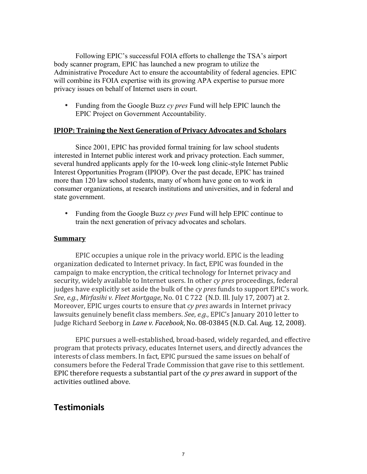Following EPIC's successful FOIA efforts to challenge the TSA's airport body scanner program, EPIC has launched a new program to utilize the Administrative Procedure Act to ensure the accountability of federal agencies. EPIC will combine its FOIA expertise with its growing APA expertise to pursue more privacy issues on behalf of Internet users in court.

• Funding from the Google Buzz *cy pres* Fund will help EPIC launch the EPIC Project on Government Accountability.

#### **IPIOP: Training the Next Generation of Privacy Advocates and Scholars**

Since 2001, EPIC has provided formal training for law school students interested in Internet public interest work and privacy protection. Each summer, several hundred applicants apply for the 10-week long clinic-style Internet Public Interest Opportunities Program (IPIOP). Over the past decade, EPIC has trained more than 120 law school students, many of whom have gone on to work in consumer organizations, at research institutions and universities, and in federal and state government.

• Funding from the Google Buzz *cy pres* Fund will help EPIC continue to train the next generation of privacy advocates and scholars.

#### **Summary**

EPIC occupies a unique role in the privacy world. EPIC is the leading organization dedicated to Internet privacy. In fact, EPIC was founded in the campaign to make encryption, the critical technology for Internet privacy and security, widely available to Internet users. In other *cy pres* proceedings, federal judges have explicitly set aside the bulk of the *cy pres* funds to support EPIC's work. *See, e.g., Mirfasihi v. Fleet Mortgage, No. 01 C 722* (N.D. Ill. July 17, 2007) at 2. Moreover, EPIC urges courts to ensure that *cy pres* awards in Internet privacy lawsuits genuinely benefit class members. *See, e.g.*, EPIC's January 2010 letter to Judge Richard Seeborg in *Lane v. Facebook*, No. 08-03845 (N.D. Cal. Aug. 12, 2008).

EPIC pursues a well-established, broad-based, widely regarded, and effective program that protects privacy, educates Internet users, and directly advances the interests of class members. In fact, EPIC pursued the same issues on behalf of consumers before the Federal Trade Commission that gave rise to this settlement. EPIC therefore requests a substantial part of the *cy pres* award in support of the activities outlined above.

# **Testimonials**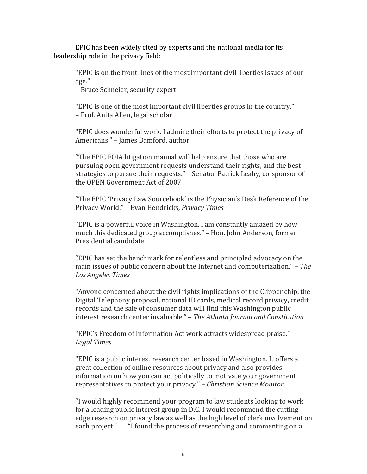EPIC has been widely cited by experts and the national media for its leadership role in the privacy field:

"EPIC is on the front lines of the most important civil liberties issues of our age."

– Bruce Schneier, security expert

"EPIC is one of the most important civil liberties groups in the country." – Prof. Anita Allen, legal scholar

"EPIC does wonderful work. I admire their efforts to protect the privacy of Americans." – James Bamford, author

"The EPIC FOIA litigation manual will help ensure that those who are pursuing open government requests understand their rights, and the best strategies to pursue their requests." – Senator Patrick Leahy, co-sponsor of the OPEN Government Act of 2007

"The EPIC 'Privacy Law Sourcebook' is the Physician's Desk Reference of the Privacy World." – Evan Hendricks, *Privacy Times* 

"EPIC is a powerful voice in Washington. I am constantly amazed by how much this dedicated group accomplishes." – Hon. John Anderson, former Presidential candidate

"EPIC has set the benchmark for relentless and principled advocacy on the main issues of public concern about the Internet and computerization." – *The Los Angeles Times* 

"Anyone concerned about the civil rights implications of the Clipper chip, the Digital Telephony proposal, national ID cards, medical record privacy, credit records and the sale of consumer data will find this Washington public interest research center invaluable." – *The Atlanta Journal and Constitution* 

"EPIC's Freedom of Information Act work attracts widespread praise." – *Legal#Times*

"EPIC is a public interest research center based in Washington. It offers a great collection of online resources about privacy and also provides information on how you can act politically to motivate your government representatives to protect your privacy." – *Christian Science Monitor* 

"I would highly recommend your program to law students looking to work for a leading public interest group in D.C. I would recommend the cutting edge research on privacy law as well as the high level of clerk involvement on each project." . . . "I found the process of researching and commenting on a